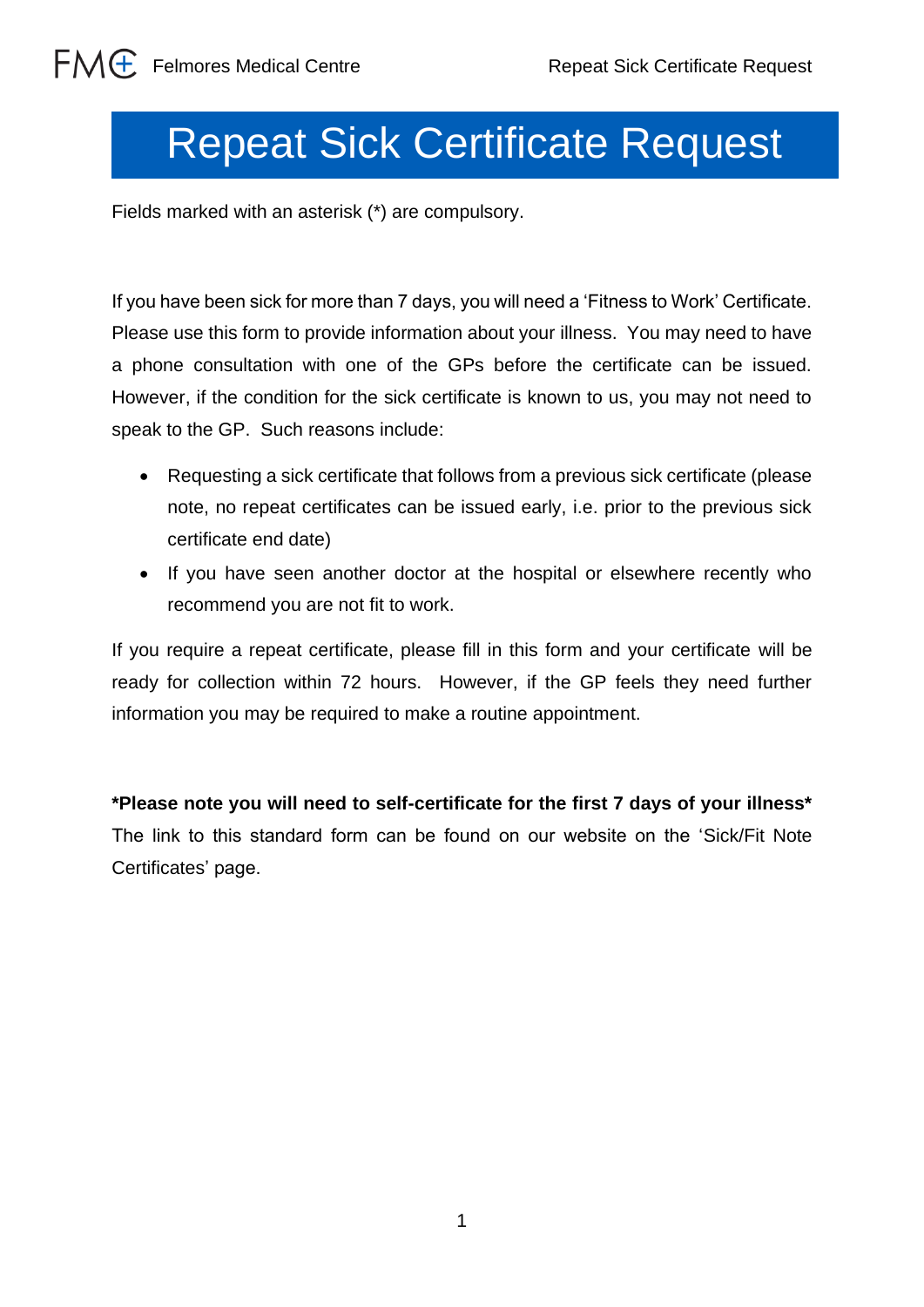## Repeat Sick Certificate Request

Fields marked with an asterisk (\*) are compulsory.

If you have been sick for more than 7 days, you will need a 'Fitness to Work' Certificate. Please use this form to provide information about your illness. You may need to have a phone consultation with one of the GPs before the certificate can be issued. However, if the condition for the sick certificate is known to us, you may not need to speak to the GP. Such reasons include:

- Requesting a sick certificate that follows from a previous sick certificate (please note, no repeat certificates can be issued early, i.e. prior to the previous sick certificate end date)
- If you have seen another doctor at the hospital or elsewhere recently who recommend you are not fit to work.

If you require a repeat certificate, please fill in this form and your certificate will be ready for collection within 72 hours. However, if the GP feels they need further information you may be required to make a routine appointment.

**\*Please note you will need to self-certificate for the first 7 days of your illness\***  The link to this standard form can be found on our website on the 'Sick/Fit Note Certificates' page.